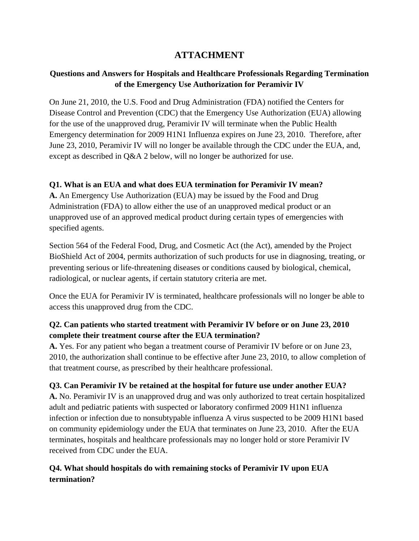# **ATTACHMENT**

# **Questions and Answers for Hospitals and Healthcare Professionals Regarding Termination of the Emergency Use Authorization for Peramivir IV**

On June 21, 2010, the U.S. Food and Drug Administration (FDA) notified the Centers for Disease Control and Prevention (CDC) that the Emergency Use Authorization (EUA) allowing for the use of the unapproved drug, Peramivir IV will terminate when the Public Health Emergency determination for 2009 H1N1 Influenza expires on June 23, 2010. Therefore, after June 23, 2010, Peramivir IV will no longer be available through the CDC under the EUA, and, except as described in Q&A 2 below, will no longer be authorized for use.

### **Q1. What is an EUA and what does EUA termination for Peramivir IV mean?**

**A.** An Emergency Use Authorization (EUA) may be issued by the Food and Drug Administration (FDA) to allow either the use of an unapproved medical product or an unapproved use of an approved medical product during certain types of emergencies with specified agents.

Section 564 of the Federal Food, Drug, and Cosmetic Act (the Act), amended by the Project BioShield Act of 2004, permits authorization of such products for use in diagnosing, treating, or preventing serious or life-threatening diseases or conditions caused by biological, chemical, radiological, or nuclear agents, if certain statutory criteria are met.

Once the EUA for Peramivir IV is terminated, healthcare professionals will no longer be able to access this unapproved drug from the CDC.

### **Q2. Can patients who started treatment with Peramivir IV before or on June 23, 2010 complete their treatment course after the EUA termination?**

**A.** Yes. For any patient who began a treatment course of Peramivir IV before or on June 23, 2010, the authorization shall continue to be effective after June 23, 2010, to allow completion of that treatment course, as prescribed by their healthcare professional.

### **Q3. Can Peramivir IV be retained at the hospital for future use under another EUA?**

**A.** No. Peramivir IV is an unapproved drug and was only authorized to treat certain hospitalized adult and pediatric patients with suspected or laboratory confirmed 2009 H1N1 influenza infection or infection due to nonsubtypable influenza A virus suspected to be 2009 H1N1 based on community epidemiology under the EUA that terminates on June 23, 2010. After the EUA terminates, hospitals and healthcare professionals may no longer hold or store Peramivir IV received from CDC under the EUA.

# **Q4. What should hospitals do with remaining stocks of Peramivir IV upon EUA termination?**